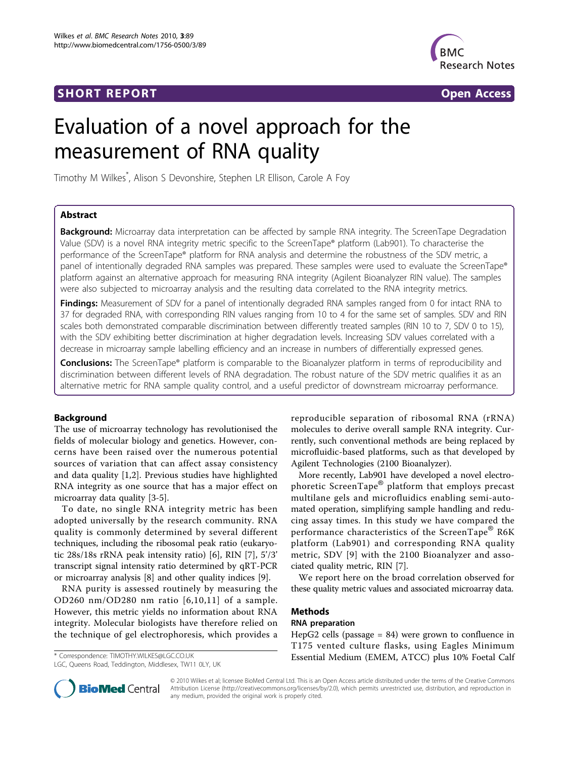# **SHORT REPORT SHORT CONSUMING THE CONSUMING THE CONSUMING THE CONSUMING THE CONSUMING THE CONSUMING THE CONSUMING THE CONSUMING THE CONSUMING THE CONSUMING THE CONSUMING THE CONSUMING THE CONSUMING THE CONSUMING THE CO**



# Evaluation of a novel approach for the measurement of RNA quality

Timothy M Wilkes\* , Alison S Devonshire, Stephen LR Ellison, Carole A Foy

# Abstract

**Background:** Microarray data interpretation can be affected by sample RNA integrity. The ScreenTape Degradation Value (SDV) is a novel RNA integrity metric specific to the ScreenTape® platform (Lab901). To characterise the performance of the ScreenTape® platform for RNA analysis and determine the robustness of the SDV metric, a panel of intentionally degraded RNA samples was prepared. These samples were used to evaluate the ScreenTape® platform against an alternative approach for measuring RNA integrity (Agilent Bioanalyzer RIN value). The samples were also subjected to microarray analysis and the resulting data correlated to the RNA integrity metrics.

Findings: Measurement of SDV for a panel of intentionally degraded RNA samples ranged from 0 for intact RNA to 37 for degraded RNA, with corresponding RIN values ranging from 10 to 4 for the same set of samples. SDV and RIN scales both demonstrated comparable discrimination between differently treated samples (RIN 10 to 7, SDV 0 to 15), with the SDV exhibiting better discrimination at higher degradation levels. Increasing SDV values correlated with a decrease in microarray sample labelling efficiency and an increase in numbers of differentially expressed genes.

**Conclusions:** The ScreenTape® platform is comparable to the Bioanalyzer platform in terms of reproducibility and discrimination between different levels of RNA degradation. The robust nature of the SDV metric qualifies it as an alternative metric for RNA sample quality control, and a useful predictor of downstream microarray performance.

# Background

The use of microarray technology has revolutionised the fields of molecular biology and genetics. However, concerns have been raised over the numerous potential sources of variation that can affect assay consistency and data quality [[1](#page-5-0),[2\]](#page-5-0). Previous studies have highlighted RNA integrity as one source that has a major effect on microarray data quality [\[3](#page-5-0)-[5\]](#page-5-0).

To date, no single RNA integrity metric has been adopted universally by the research community. RNA quality is commonly determined by several different techniques, including the ribosomal peak ratio (eukaryotic 28s/18s rRNA peak intensity ratio) [\[6](#page-5-0)], RIN [\[7](#page-5-0)], 5'/3' transcript signal intensity ratio determined by qRT-PCR or microarray analysis [[8\]](#page-6-0) and other quality indices [\[9](#page-6-0)].

RNA purity is assessed routinely by measuring the OD260 nm/OD280 nm ratio [[6](#page-5-0),[10,11](#page-6-0)] of a sample. However, this metric yields no information about RNA integrity. Molecular biologists have therefore relied on the technique of gel electrophoresis, which provides a

reproducible separation of ribosomal RNA (rRNA) molecules to derive overall sample RNA integrity. Currently, such conventional methods are being replaced by microfluidic-based platforms, such as that developed by Agilent Technologies (2100 Bioanalyzer).

More recently, Lab901 have developed a novel electrophoretic ScreenTape® platform that employs precast multilane gels and microfluidics enabling semi-automated operation, simplifying sample handling and reducing assay times. In this study we have compared the performance characteristics of the ScreenTape<sup>®</sup> R6K platform (Lab901) and corresponding RNA quality metric, SDV [[9](#page-6-0)] with the 2100 Bioanalyzer and associated quality metric, RIN [\[7](#page-5-0)].

We report here on the broad correlation observed for these quality metric values and associated microarray data.

# Methods

#### RNA preparation

HepG2 cells (passage  $= 84$ ) were grown to confluence in T175 vented culture flasks, using Eagles Minimum \* Correspondence: [TIMOTHY.WILKES@LGC.CO.UK](mailto:TIMOTHY.WILKES@LGC.CO.UK) **Essential Medium (EMEM, ATCC) plus 10% Foetal Calf** 



© 2010 Wilkes et al; licensee BioMed Central Ltd. This is an Open Access article distributed under the terms of the Creative Commons Attribution License [\(http://creativecommons.org/licenses/by/2.0](http://creativecommons.org/licenses/by/2.0)), which permits unrestricted use, distribution, and reproduction in any medium, provided the original work is properly cited.

LGC, Queens Road, Teddington, Middlesex, TW11 0LY, UK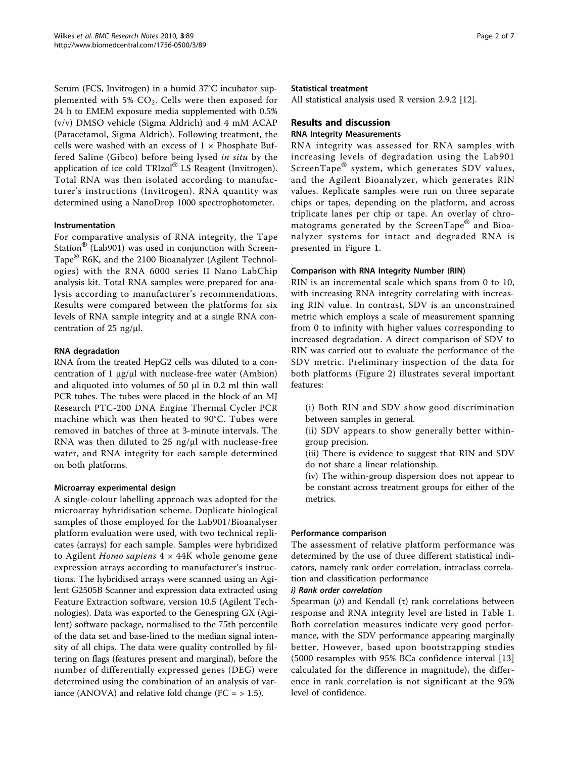Serum (FCS, Invitrogen) in a humid 37°C incubator supplemented with 5%  $CO<sub>2</sub>$ . Cells were then exposed for 24 h to EMEM exposure media supplemented with 0.5% (v/v) DMSO vehicle (Sigma Aldrich) and 4 mM ACAP (Paracetamol, Sigma Aldrich). Following treatment, the cells were washed with an excess of  $1 \times$  Phosphate Buffered Saline (Gibco) before being lysed in situ by the application of ice cold TRIzol® LS Reagent (Invitrogen). Total RNA was then isolated according to manufacturer's instructions (Invitrogen). RNA quantity was determined using a NanoDrop 1000 spectrophotometer.

# Instrumentation

For comparative analysis of RNA integrity, the Tape Station® (Lab901) was used in conjunction with Screen-Tape® R6K, and the 2100 Bioanalyzer (Agilent Technologies) with the RNA 6000 series II Nano LabChip analysis kit. Total RNA samples were prepared for analysis according to manufacturer's recommendations. Results were compared between the platforms for six levels of RNA sample integrity and at a single RNA concentration of 25 ng/μl.

# RNA degradation

RNA from the treated HepG2 cells was diluted to a concentration of 1 μg/μl with nuclease-free water (Ambion) and aliquoted into volumes of 50 μl in 0.2 ml thin wall PCR tubes. The tubes were placed in the block of an MJ Research PTC-200 DNA Engine Thermal Cycler PCR machine which was then heated to 90°C. Tubes were removed in batches of three at 3-minute intervals. The RNA was then diluted to 25 ng/μl with nuclease-free water, and RNA integrity for each sample determined on both platforms.

#### Microarray experimental design

A single-colour labelling approach was adopted for the microarray hybridisation scheme. Duplicate biological samples of those employed for the Lab901/Bioanalyser platform evaluation were used, with two technical replicates (arrays) for each sample. Samples were hybridized to Agilent *Homo sapiens*  $4 \times 44K$  whole genome gene expression arrays according to manufacturer's instructions. The hybridised arrays were scanned using an Agilent G2505B Scanner and expression data extracted using Feature Extraction software, version 10.5 (Agilent Technologies). Data was exported to the Genespring GX (Agilent) software package, normalised to the 75th percentile of the data set and base-lined to the median signal intensity of all chips. The data were quality controlled by filtering on flags (features present and marginal), before the number of differentially expressed genes (DEG) were determined using the combination of an analysis of variance (ANOVA) and relative fold change ( $FC = > 1.5$ ).

## Statistical treatment

All statistical analysis used R version 2.9.2 [\[12](#page-6-0)].

# Results and discussion

#### RNA Integrity Measurements

RNA integrity was assessed for RNA samples with increasing levels of degradation using the Lab901 ScreenTape® system, which generates SDV values, and the Agilent Bioanalyzer, which generates RIN values. Replicate samples were run on three separate chips or tapes, depending on the platform, and across triplicate lanes per chip or tape. An overlay of chromatograms generated by the ScreenTape® and Bioanalyzer systems for intact and degraded RNA is presented in Figure [1.](#page-2-0)

# Comparison with RNA Integrity Number (RIN)

RIN is an incremental scale which spans from 0 to 10, with increasing RNA integrity correlating with increasing RIN value. In contrast, SDV is an unconstrained metric which employs a scale of measurement spanning from 0 to infinity with higher values corresponding to increased degradation. A direct comparison of SDV to RIN was carried out to evaluate the performance of the SDV metric. Preliminary inspection of the data for both platforms (Figure [2](#page-3-0)) illustrates several important features:

(i) Both RIN and SDV show good discrimination between samples in general.

(ii) SDV appears to show generally better withingroup precision.

(iii) There is evidence to suggest that RIN and SDV do not share a linear relationship.

(iv) The within-group dispersion does not appear to be constant across treatment groups for either of the metrics.

# Performance comparison

The assessment of relative platform performance was determined by the use of three different statistical indicators, namely rank order correlation, intraclass correlation and classification performance

# i) Rank order correlation

Spearman ( $\rho$ ) and Kendall (τ) rank correlations between response and RNA integrity level are listed in Table [1](#page-3-0). Both correlation measures indicate very good performance, with the SDV performance appearing marginally better. However, based upon bootstrapping studies (5000 resamples with 95% BCa confidence interval [\[13](#page-6-0)] calculated for the difference in magnitude), the difference in rank correlation is not significant at the 95% level of confidence.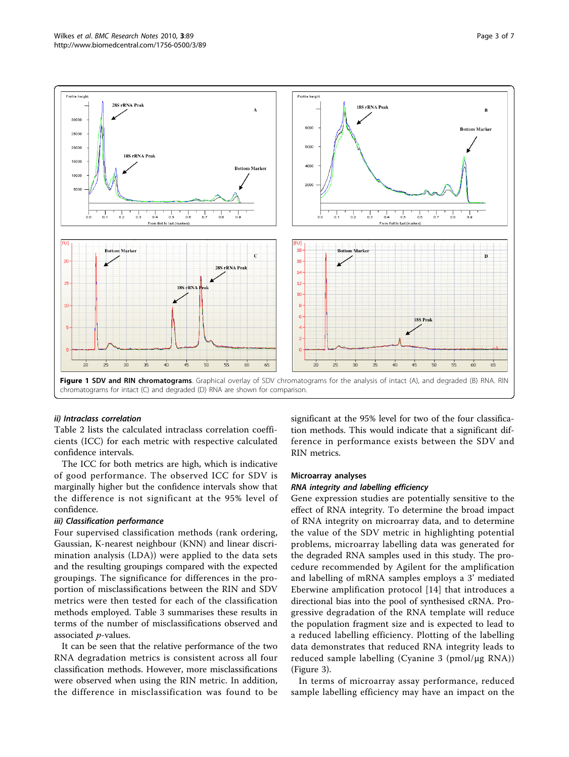<span id="page-2-0"></span>

#### ii) Intraclass correlation

Table [2](#page-3-0) lists the calculated intraclass correlation coefficients (ICC) for each metric with respective calculated confidence intervals.

The ICC for both metrics are high, which is indicative of good performance. The observed ICC for SDV is marginally higher but the confidence intervals show that the difference is not significant at the 95% level of confidence.

# iii) Classification performance

Four supervised classification methods (rank ordering, Gaussian, K-nearest neighbour (KNN) and linear discrimination analysis (LDA)) were applied to the data sets and the resulting groupings compared with the expected groupings. The significance for differences in the proportion of misclassifications between the RIN and SDV metrics were then tested for each of the classification methods employed. Table [3](#page-4-0) summarises these results in terms of the number of misclassifications observed and associated p-values.

It can be seen that the relative performance of the two RNA degradation metrics is consistent across all four classification methods. However, more misclassifications were observed when using the RIN metric. In addition, the difference in misclassification was found to be significant at the 95% level for two of the four classification methods. This would indicate that a significant difference in performance exists between the SDV and RIN metrics.

#### Microarray analyses

#### RNA integrity and labelling efficiency

Gene expression studies are potentially sensitive to the effect of RNA integrity. To determine the broad impact of RNA integrity on microarray data, and to determine the value of the SDV metric in highlighting potential problems, microarray labelling data was generated for the degraded RNA samples used in this study. The procedure recommended by Agilent for the amplification and labelling of mRNA samples employs a 3' mediated Eberwine amplification protocol [[14](#page-6-0)] that introduces a directional bias into the pool of synthesised cRNA. Progressive degradation of the RNA template will reduce the population fragment size and is expected to lead to a reduced labelling efficiency. Plotting of the labelling data demonstrates that reduced RNA integrity leads to reduced sample labelling (Cyanine 3 (pmol/μg RNA)) (Figure [3\)](#page-4-0).

In terms of microarray assay performance, reduced sample labelling efficiency may have an impact on the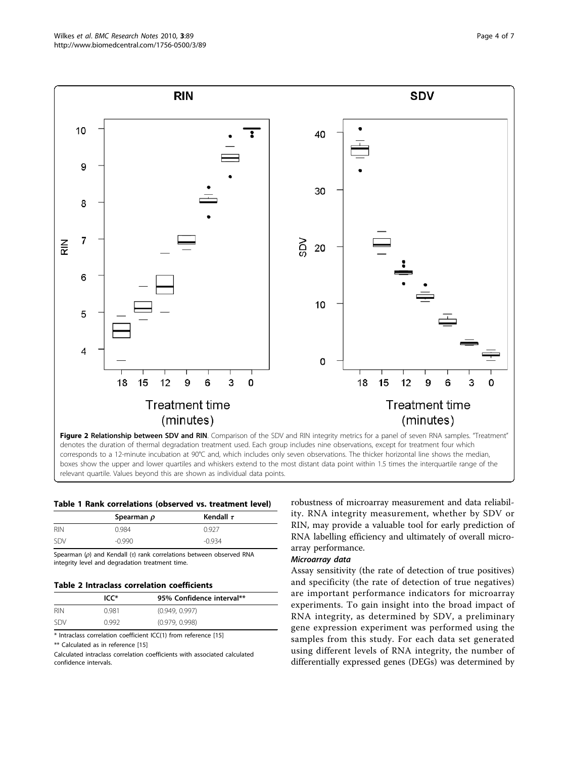<span id="page-3-0"></span>

denotes the duration of thermal degradation treatment used. Each group includes nine observations, except for treatment four which corresponds to a 12-minute incubation at 90°C and, which includes only seven observations. The thicker horizontal line shows the median, boxes show the upper and lower quartiles and whiskers extend to the most distant data point within 1.5 times the interquartile range of the relevant quartile. Values beyond this are shown as individual data points.

#### Table 1 Rank correlations (observed vs. treatment level)

|            | Spearman $\rho$ | Kendall $\tau$ |
|------------|-----------------|----------------|
| <b>RIN</b> | 0.984           | 0927           |
| <b>SDV</b> | $-0.990$        | $-0.934$       |

Spearman ( $\rho$ ) and Kendall (τ) rank correlations between observed RNA integrity level and degradation treatment time.

# Table 2 Intraclass correlation coefficients

|            | $ICC^*$ | 95% Confidence interval** |
|------------|---------|---------------------------|
| <b>RIN</b> | 0981    | (0.949, 0.997)            |
| <b>SDV</b> | 0.992   | (0.979, 0.998)            |

\* Intraclass correlation coefficient ICC(1) from reference [\[15](#page-6-0)]

\*\* Calculated as in reference [[15\]](#page-6-0)

Calculated intraclass correlation coefficients with associated calculated confidence intervals.

robustness of microarray measurement and data reliability. RNA integrity measurement, whether by SDV or RIN, may provide a valuable tool for early prediction of RNA labelling efficiency and ultimately of overall microarray performance.

#### Microarray data

Assay sensitivity (the rate of detection of true positives) and specificity (the rate of detection of true negatives) are important performance indicators for microarray experiments. To gain insight into the broad impact of RNA integrity, as determined by SDV, a preliminary gene expression experiment was performed using the samples from this study. For each data set generated using different levels of RNA integrity, the number of differentially expressed genes (DEGs) was determined by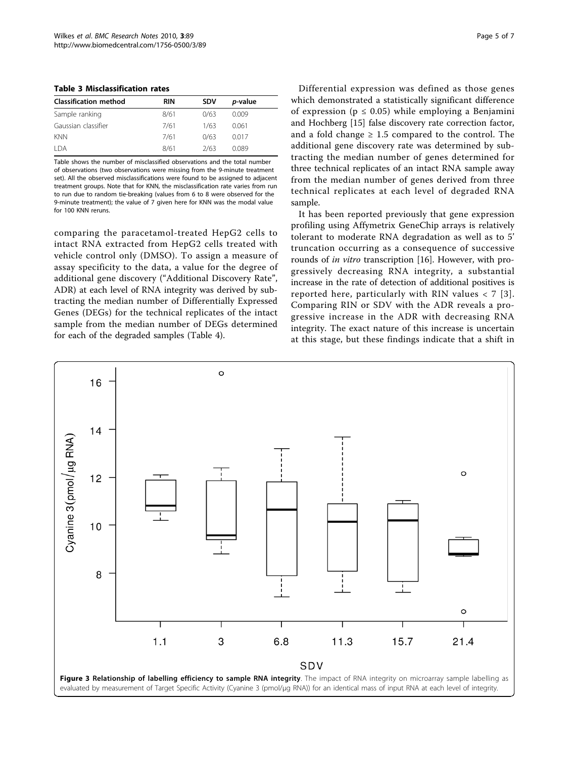<span id="page-4-0"></span>Table 3 Misclassification rates

| <b>Classification method</b> | <b>RIN</b> | <b>SDV</b> | <i>p</i> -value |  |
|------------------------------|------------|------------|-----------------|--|
| Sample ranking               | 8/61       | 0/63       | 0.009           |  |
| Gaussian classifier          | 7/61       | 1/63       | 0.061           |  |
| <b>KNN</b>                   | 7/61       | 0/63       | 0017            |  |
| I DA                         | 8/61       | 7/63       | 0.089           |  |

Table shows the number of misclassified observations and the total number of observations (two observations were missing from the 9-minute treatment set). All the observed misclassifications were found to be assigned to adjacent treatment groups. Note that for KNN, the misclassification rate varies from run to run due to random tie-breaking (values from 6 to 8 were observed for the 9-minute treatment); the value of 7 given here for KNN was the modal value for 100 KNN reruns.

comparing the paracetamol-treated HepG2 cells to intact RNA extracted from HepG2 cells treated with vehicle control only (DMSO). To assign a measure of assay specificity to the data, a value for the degree of additional gene discovery ("Additional Discovery Rate", ADR) at each level of RNA integrity was derived by subtracting the median number of Differentially Expressed Genes (DEGs) for the technical replicates of the intact sample from the median number of DEGs determined for each of the degraded samples (Table [4](#page-5-0)).

Differential expression was defined as those genes which demonstrated a statistically significant difference of expression ( $p \leq 0.05$ ) while employing a Benjamini and Hochberg [[15\]](#page-6-0) false discovery rate correction factor, and a fold change  $\geq 1.5$  compared to the control. The additional gene discovery rate was determined by subtracting the median number of genes determined for three technical replicates of an intact RNA sample away from the median number of genes derived from three technical replicates at each level of degraded RNA sample.

It has been reported previously that gene expression profiling using Affymetrix GeneChip arrays is relatively tolerant to moderate RNA degradation as well as to 5' truncation occurring as a consequence of successive rounds of in vitro transcription [[16\]](#page-6-0). However, with progressively decreasing RNA integrity, a substantial increase in the rate of detection of additional positives is reported here, particularly with RIN values  $<$  7 [\[3\]](#page-5-0). Comparing RIN or SDV with the ADR reveals a progressive increase in the ADR with decreasing RNA integrity. The exact nature of this increase is uncertain at this stage, but these findings indicate that a shift in

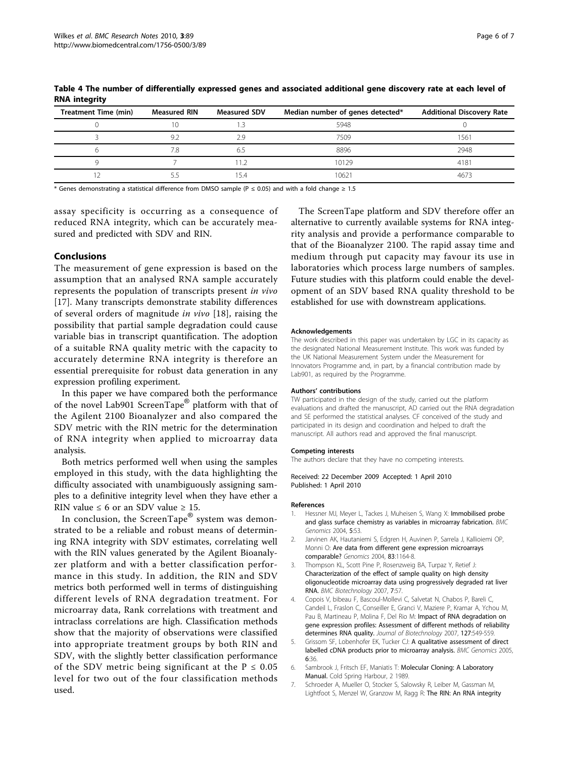| Treatment Time (min) | <b>Measured RIN</b> | <b>Measured SDV</b> | Median number of genes detected* | <b>Additional Discovery Rate</b> |
|----------------------|---------------------|---------------------|----------------------------------|----------------------------------|
|                      |                     |                     | 5948                             |                                  |
|                      |                     | 2.9                 | 7509                             | 561                              |
|                      |                     | 6.                  | 8896                             | 2948                             |
|                      |                     |                     | 10129                            | 4181                             |
|                      |                     | 15 A                | 10621                            | 4673                             |

<span id="page-5-0"></span>Table 4 The number of differentially expressed genes and associated additional gene discovery rate at each level of RNA integrity

\* Genes demonstrating a statistical difference from DMSO sample ( $P \le 0.05$ ) and with a fold change  $\ge 1.5$ 

assay specificity is occurring as a consequence of reduced RNA integrity, which can be accurately measured and predicted with SDV and RIN.

## Conclusions

The measurement of gene expression is based on the assumption that an analysed RNA sample accurately represents the population of transcripts present in vivo [[17\]](#page-6-0). Many transcripts demonstrate stability differences of several orders of magnitude in vivo [\[18\]](#page-6-0), raising the possibility that partial sample degradation could cause variable bias in transcript quantification. The adoption of a suitable RNA quality metric with the capacity to accurately determine RNA integrity is therefore an essential prerequisite for robust data generation in any expression profiling experiment.

In this paper we have compared both the performance of the novel Lab901 ScreenTape® platform with that of the Agilent 2100 Bioanalyzer and also compared the SDV metric with the RIN metric for the determination of RNA integrity when applied to microarray data analysis.

Both metrics performed well when using the samples employed in this study, with the data highlighting the difficulty associated with unambiguously assigning samples to a definitive integrity level when they have ether a RIN value  $\leq 6$  or an SDV value  $\geq 15$ .

In conclusion, the ScreenTape® system was demonstrated to be a reliable and robust means of determining RNA integrity with SDV estimates, correlating well with the RIN values generated by the Agilent Bioanalyzer platform and with a better classification performance in this study. In addition, the RIN and SDV metrics both performed well in terms of distinguishing different levels of RNA degradation treatment. For microarray data, Rank correlations with treatment and intraclass correlations are high. Classification methods show that the majority of observations were classified into appropriate treatment groups by both RIN and SDV, with the slightly better classification performance of the SDV metric being significant at the  $P \le 0.05$ level for two out of the four classification methods used.

The ScreenTape platform and SDV therefore offer an alternative to currently available systems for RNA integrity analysis and provide a performance comparable to that of the Bioanalyzer 2100. The rapid assay time and medium through put capacity may favour its use in laboratories which process large numbers of samples. Future studies with this platform could enable the development of an SDV based RNA quality threshold to be established for use with downstream applications.

#### Acknowledgements

The work described in this paper was undertaken by LGC in its capacity as the designated National Measurement Institute. This work was funded by the UK National Measurement System under the Measurement for Innovators Programme and, in part, by a financial contribution made by Lab901, as required by the Programme.

#### Authors' contributions

TW participated in the design of the study, carried out the platform evaluations and drafted the manuscript, AD carried out the RNA degradation and SE performed the statistical analyses. CF conceived of the study and participated in its design and coordination and helped to draft the manuscript. All authors read and approved the final manuscript.

#### Competing interests

The authors declare that they have no competing interests.

Received: 22 December 2009 Accepted: 1 April 2010 Published: 1 April 2010

#### References

- Hessner MJ, Meyer L, Tackes J, Muheisen S, Wang X: [Immobilised probe](http://www.ncbi.nlm.nih.gov/pubmed/15294027?dopt=Abstract) [and glass surface chemistry as variables in microarray fabrication.](http://www.ncbi.nlm.nih.gov/pubmed/15294027?dopt=Abstract) BMC Genomics 2004, 5:53.
- 2. Jarvinen AK, Hautaniemi S, Edgren H, Auvinen P, Sarrela J, Kallioiemi OP, Monni O: [Are data from different gene expression microarrays](http://www.ncbi.nlm.nih.gov/pubmed/15177569?dopt=Abstract) [comparable?](http://www.ncbi.nlm.nih.gov/pubmed/15177569?dopt=Abstract) Genomics 2004, 83:1164-8.
- 3. Thompson KL, Scott Pine P, Rosenzweig BA, Turpaz Y, Retief J: [Characterization of the effect of sample quality on high density](http://www.ncbi.nlm.nih.gov/pubmed/17854504?dopt=Abstract) [oligonucleotide microarray data using progressively degraded rat liver](http://www.ncbi.nlm.nih.gov/pubmed/17854504?dopt=Abstract) [RNA.](http://www.ncbi.nlm.nih.gov/pubmed/17854504?dopt=Abstract) BMC Biotechnology 2007, 7:57.
- 4. Copois V, bibeau F, Bascoul-Mollevi C, Salvetat N, Chabos P, Bareli C, Candeil L, Fraslon C, Conseiller E, Granci V, Maziere P, Kramar A, Ychou M, Pau B, Martineau P, Molina F, Del Rio M: [Impact of RNA degradation on](http://www.ncbi.nlm.nih.gov/pubmed/16945445?dopt=Abstract) [gene expression profiles: Assessment of different methods of reliability](http://www.ncbi.nlm.nih.gov/pubmed/16945445?dopt=Abstract) [determines RNA quality.](http://www.ncbi.nlm.nih.gov/pubmed/16945445?dopt=Abstract) Journal of Biotechnology 2007, 127:549-559.
- 5. Grissom SF, Lobenhofer EK, Tucker CJ: [A qualitative assessment of direct](http://www.ncbi.nlm.nih.gov/pubmed/15762992?dopt=Abstract) [labelled cDNA products prior to microarray analysis.](http://www.ncbi.nlm.nih.gov/pubmed/15762992?dopt=Abstract) BMC Genomics 2005, 6:36.
- 6. Sambrook J, Fritsch EF, Maniatis T: Molecular Cloning: A Laboratory Manual. Cold Spring Harbour, 2 1989.
- 7. Schroeder A, Mueller O, Stocker S, Salowsky R, Leiber M, Gassman M, Lightfoot S, Menzel W, Granzow M, Ragg R: [The RIN: An RNA integrity](http://www.ncbi.nlm.nih.gov/pubmed/16448564?dopt=Abstract)